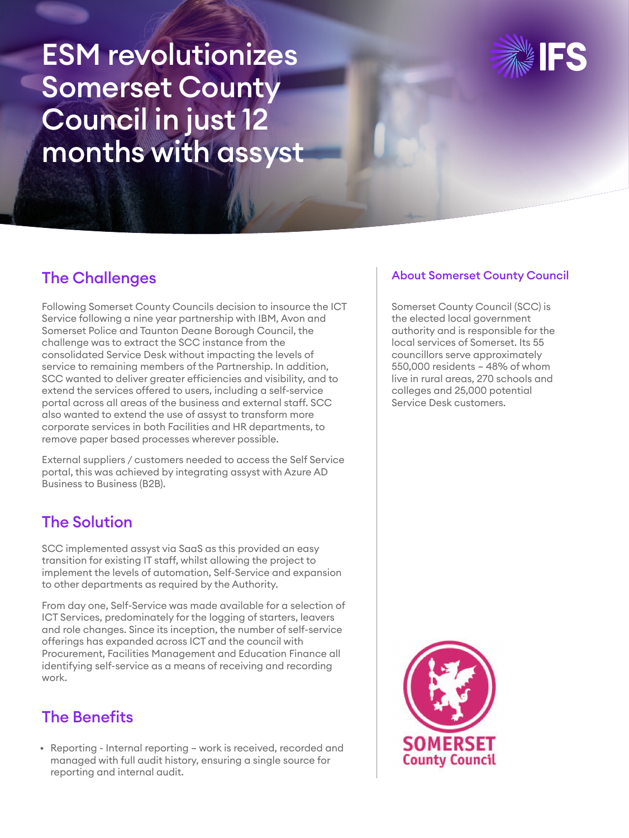ESM revolutionizes Somerset County Council in just 12 months with assyst



### The Challenges

Following Somerset County Councils decision to insource the ICT Service following a nine year partnership with IBM, Avon and Somerset Police and Taunton Deane Borough Council, the challenge was to extract the SCC instance from the consolidated Service Desk without impacting the levels of service to remaining members of the Partnership. In addition, SCC wanted to deliver greater efficiencies and visibility, and to extend the services offered to users, including a self-service portal across all areas of the business and external staff. SCC also wanted to extend the use of assyst to transform more corporate services in both Facilities and HR departments, to remove paper based processes wherever possible.

External suppliers / customers needed to access the Self Service portal, this was achieved by integrating assyst with Azure AD Business to Business (B2B).

## The Solution

SCC implemented assyst via SaaS as this provided an easy transition for existing IT staff, whilst allowing the project to implement the levels of automation, Self-Service and expansion to other departments as required by the Authority.

From day one, Self-Service was made available for a selection of ICT Services, predominately for the logging of starters, leavers and role changes. Since its inception, the number of self-service offerings has expanded across ICT and the council with Procurement, Facilities Management and Education Finance all identifying self-service as a means of receiving and recording work.

# The Benefits

• Reporting - Internal reporting – work is received, recorded and managed with full audit history, ensuring a single source for reporting and internal audit.

### About Somerset County Council

Somerset County Council (SCC) is the elected local government authority and is responsible for the local services of Somerset. Its 55 councillors serve approximately 550,000 residents – 48% of whom live in rural areas, 270 schools and colleges and 25,000 potential Service Desk customers.